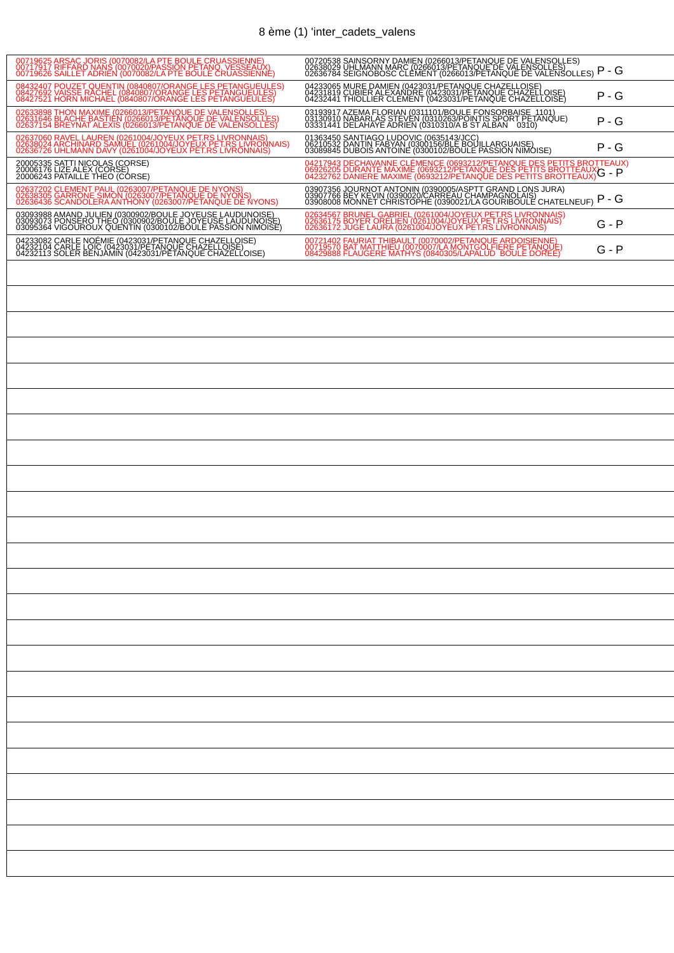## 8 ème (1) 'inter\_cadets\_valens

| 08432407 POUZET QUENTIN (0840807/ORANGE LES PETANGUEULES)<br>08427692 VAISSE RACHEL (0840807/ORANGE LES PETANGUEULES)<br>08427521 HORN MICHAEL (0840807/ORANGE LES PETANGUEULES)<br>04233065 MURE DAMIEN (0423031/PETANQUE CHAZELLOISE)<br>04231819 CUBIER ALEXANDRE (0423031/PETANQUE CHAZELLOISE)<br>04232441 THIOLLIER CLEMENT (0423031/PETANQUE CHAZELLOISE)<br>$P - G$<br>02633898 THON MAXIME (0266013/PETANQUE DE VALENSOLLES)<br>02631646 BLACHE BASTIEN (0266013/PETANQUE DE VALENSOLLES)<br>02637154 BREYNAT ALEXIS (0266013/PETANQUE DE VALENSOLLES)<br>$P - G$<br>02637060 RAVEL LAUREN (0261004/JOYEUX PET.RS LIVRONNAIS)<br>02638024 ARCHINARD SAMUEL (0261004/JOYEUX PET.RS LIVRONNAIS)<br>02636726 UHLMANN DAVY (0261004/JOYEUX PET.RS LIVRONNAIS)<br>01363450 SANTIAGO LUDOVIC (0635143/JCC)<br>06210532 DANTIN FABYAN (0300156/BLE BOUILLARGUAISE)<br>03089845 DUBOIS ANTOINE (0300102/BOULE PASSION NIMOISE)<br>P - G<br>04217943 DECHAVANNE CLÉMENCE (0693212/PETANQUE DES PETITS BROTTEAUX)<br>06926205 DURANTE MAXIME (0693212/PETANQUE DES PETITS BROTTEAUX)<br>04232762 DANIERE MAXIME (0693212/PETANQUE DES PETITS BROTTEAUX)G - <b>P</b><br>20005335 SATTI NICOLAS (CORSE)<br>20006176 LIZE ALEX (CORSE)<br>20006243 PATAILLE THEO (CÓRSE)<br>03907356 JOURNOT ANTONIN (0390005/ASPTT GRAND LONS JURA)<br>03907766 BEY KEVIN (0390020)CARREAU CHAMPAGNOLAIS)<br>03908008 MONNET CHRISTOPHE (0390021/LA GOURIBOULE CHATELNEUF)<br>02637202 CLEMENT PAUL (0263007/PETANQUE DE NYONS)<br>02638305 GARRONE SIMON (0263007/PETANQUE DE NYONS)<br>02636436 SCANDOLERA ANTHONY (0263007/PETANQUE DE NYONS)<br>$P - G$<br>03093988 AMAND JULIEN (0300902/BOULE JOYEUSE LAUDUNOISE)<br>03093073 PONSERO THEO (0300902/BOULE JOYEUSE LAUDUNOISE)<br>03095364 VIGOUROUX QUENTIN (0300102/BOULE PASSION NIMOISE)<br>02634567 BRUNEL GABRIEL (0261004/JOYEUX PET.RS LIVRONNAIS)<br>02636175 BOYER ORELIEN (0261004/JOYEUX PET.RS LIVRONNAIS)<br>02636172 JUGE LAURA (0261004/JOYEUX PET.RS LIVRONNAIS)<br>G - P<br>04233082 CARLE NOÉMIE (0423031/PETANQUE CHAZELLOISE)<br>04232104 CARLE LOIC (0423031/PETANQUE CHAZELLOISE)<br>04232113 SOLER BENJAMIN (0423031/PETANQUE CHAZELLOISE)<br>00721402 FAURIAT THIBAULT (0070002/PETANQUE ARDOISIENNE)<br>00719570 BAT MATTHIEU (0070007/LA MONTGOLFIERE PETANQUE)<br>08429888 FLAUGERE MATHYS (0840305/LAPALUD BOULE DOREE)<br>G - P | 00719625 ARSAÇ JORIS (0070082/LA PTE BOULE CRUASSIENNE)<br>00717917 RIFFARD NANS (0070020/PASSION PETANQ NESSEAUX)<br>00719626 SAILLET ADRIEN (0070082/LA PTE BOULE CRUASSIENNE) | 00720538 SAINSORNY DAMIEN (0266013/PETANQUE DE VALENSOLLES)<br>02638029 UHLMANN MARC (0266013/PETANQUE DE VALENSOLLES)<br>02636784 SEIGNOBOSC CLEMENT (0266013/PETANQUE DE VALENSOLLES) | $P - G$ |
|-------------------------------------------------------------------------------------------------------------------------------------------------------------------------------------------------------------------------------------------------------------------------------------------------------------------------------------------------------------------------------------------------------------------------------------------------------------------------------------------------------------------------------------------------------------------------------------------------------------------------------------------------------------------------------------------------------------------------------------------------------------------------------------------------------------------------------------------------------------------------------------------------------------------------------------------------------------------------------------------------------------------------------------------------------------------------------------------------------------------------------------------------------------------------------------------------------------------------------------------------------------------------------------------------------------------------------------------------------------------------------------------------------------------------------------------------------------------------------------------------------------------------------------------------------------------------------------------------------------------------------------------------------------------------------------------------------------------------------------------------------------------------------------------------------------------------------------------------------------------------------------------------------------------------------------------------------------------------------------------------------------------------------------------------------------------------------------------------------------------------------------------------------------------------------------------------------------------------------------------------------------------------------------------------------------------------------------------------------------------------------------------------|----------------------------------------------------------------------------------------------------------------------------------------------------------------------------------|-----------------------------------------------------------------------------------------------------------------------------------------------------------------------------------------|---------|
|                                                                                                                                                                                                                                                                                                                                                                                                                                                                                                                                                                                                                                                                                                                                                                                                                                                                                                                                                                                                                                                                                                                                                                                                                                                                                                                                                                                                                                                                                                                                                                                                                                                                                                                                                                                                                                                                                                                                                                                                                                                                                                                                                                                                                                                                                                                                                                                                 |                                                                                                                                                                                  |                                                                                                                                                                                         |         |
|                                                                                                                                                                                                                                                                                                                                                                                                                                                                                                                                                                                                                                                                                                                                                                                                                                                                                                                                                                                                                                                                                                                                                                                                                                                                                                                                                                                                                                                                                                                                                                                                                                                                                                                                                                                                                                                                                                                                                                                                                                                                                                                                                                                                                                                                                                                                                                                                 |                                                                                                                                                                                  |                                                                                                                                                                                         |         |
|                                                                                                                                                                                                                                                                                                                                                                                                                                                                                                                                                                                                                                                                                                                                                                                                                                                                                                                                                                                                                                                                                                                                                                                                                                                                                                                                                                                                                                                                                                                                                                                                                                                                                                                                                                                                                                                                                                                                                                                                                                                                                                                                                                                                                                                                                                                                                                                                 |                                                                                                                                                                                  |                                                                                                                                                                                         |         |
|                                                                                                                                                                                                                                                                                                                                                                                                                                                                                                                                                                                                                                                                                                                                                                                                                                                                                                                                                                                                                                                                                                                                                                                                                                                                                                                                                                                                                                                                                                                                                                                                                                                                                                                                                                                                                                                                                                                                                                                                                                                                                                                                                                                                                                                                                                                                                                                                 |                                                                                                                                                                                  |                                                                                                                                                                                         |         |
|                                                                                                                                                                                                                                                                                                                                                                                                                                                                                                                                                                                                                                                                                                                                                                                                                                                                                                                                                                                                                                                                                                                                                                                                                                                                                                                                                                                                                                                                                                                                                                                                                                                                                                                                                                                                                                                                                                                                                                                                                                                                                                                                                                                                                                                                                                                                                                                                 |                                                                                                                                                                                  |                                                                                                                                                                                         |         |
|                                                                                                                                                                                                                                                                                                                                                                                                                                                                                                                                                                                                                                                                                                                                                                                                                                                                                                                                                                                                                                                                                                                                                                                                                                                                                                                                                                                                                                                                                                                                                                                                                                                                                                                                                                                                                                                                                                                                                                                                                                                                                                                                                                                                                                                                                                                                                                                                 |                                                                                                                                                                                  |                                                                                                                                                                                         |         |
|                                                                                                                                                                                                                                                                                                                                                                                                                                                                                                                                                                                                                                                                                                                                                                                                                                                                                                                                                                                                                                                                                                                                                                                                                                                                                                                                                                                                                                                                                                                                                                                                                                                                                                                                                                                                                                                                                                                                                                                                                                                                                                                                                                                                                                                                                                                                                                                                 |                                                                                                                                                                                  |                                                                                                                                                                                         |         |
|                                                                                                                                                                                                                                                                                                                                                                                                                                                                                                                                                                                                                                                                                                                                                                                                                                                                                                                                                                                                                                                                                                                                                                                                                                                                                                                                                                                                                                                                                                                                                                                                                                                                                                                                                                                                                                                                                                                                                                                                                                                                                                                                                                                                                                                                                                                                                                                                 |                                                                                                                                                                                  |                                                                                                                                                                                         |         |
|                                                                                                                                                                                                                                                                                                                                                                                                                                                                                                                                                                                                                                                                                                                                                                                                                                                                                                                                                                                                                                                                                                                                                                                                                                                                                                                                                                                                                                                                                                                                                                                                                                                                                                                                                                                                                                                                                                                                                                                                                                                                                                                                                                                                                                                                                                                                                                                                 |                                                                                                                                                                                  |                                                                                                                                                                                         |         |
|                                                                                                                                                                                                                                                                                                                                                                                                                                                                                                                                                                                                                                                                                                                                                                                                                                                                                                                                                                                                                                                                                                                                                                                                                                                                                                                                                                                                                                                                                                                                                                                                                                                                                                                                                                                                                                                                                                                                                                                                                                                                                                                                                                                                                                                                                                                                                                                                 |                                                                                                                                                                                  |                                                                                                                                                                                         |         |
|                                                                                                                                                                                                                                                                                                                                                                                                                                                                                                                                                                                                                                                                                                                                                                                                                                                                                                                                                                                                                                                                                                                                                                                                                                                                                                                                                                                                                                                                                                                                                                                                                                                                                                                                                                                                                                                                                                                                                                                                                                                                                                                                                                                                                                                                                                                                                                                                 |                                                                                                                                                                                  |                                                                                                                                                                                         |         |
|                                                                                                                                                                                                                                                                                                                                                                                                                                                                                                                                                                                                                                                                                                                                                                                                                                                                                                                                                                                                                                                                                                                                                                                                                                                                                                                                                                                                                                                                                                                                                                                                                                                                                                                                                                                                                                                                                                                                                                                                                                                                                                                                                                                                                                                                                                                                                                                                 |                                                                                                                                                                                  |                                                                                                                                                                                         |         |
|                                                                                                                                                                                                                                                                                                                                                                                                                                                                                                                                                                                                                                                                                                                                                                                                                                                                                                                                                                                                                                                                                                                                                                                                                                                                                                                                                                                                                                                                                                                                                                                                                                                                                                                                                                                                                                                                                                                                                                                                                                                                                                                                                                                                                                                                                                                                                                                                 |                                                                                                                                                                                  |                                                                                                                                                                                         |         |
|                                                                                                                                                                                                                                                                                                                                                                                                                                                                                                                                                                                                                                                                                                                                                                                                                                                                                                                                                                                                                                                                                                                                                                                                                                                                                                                                                                                                                                                                                                                                                                                                                                                                                                                                                                                                                                                                                                                                                                                                                                                                                                                                                                                                                                                                                                                                                                                                 |                                                                                                                                                                                  |                                                                                                                                                                                         |         |
|                                                                                                                                                                                                                                                                                                                                                                                                                                                                                                                                                                                                                                                                                                                                                                                                                                                                                                                                                                                                                                                                                                                                                                                                                                                                                                                                                                                                                                                                                                                                                                                                                                                                                                                                                                                                                                                                                                                                                                                                                                                                                                                                                                                                                                                                                                                                                                                                 |                                                                                                                                                                                  |                                                                                                                                                                                         |         |
|                                                                                                                                                                                                                                                                                                                                                                                                                                                                                                                                                                                                                                                                                                                                                                                                                                                                                                                                                                                                                                                                                                                                                                                                                                                                                                                                                                                                                                                                                                                                                                                                                                                                                                                                                                                                                                                                                                                                                                                                                                                                                                                                                                                                                                                                                                                                                                                                 |                                                                                                                                                                                  |                                                                                                                                                                                         |         |
|                                                                                                                                                                                                                                                                                                                                                                                                                                                                                                                                                                                                                                                                                                                                                                                                                                                                                                                                                                                                                                                                                                                                                                                                                                                                                                                                                                                                                                                                                                                                                                                                                                                                                                                                                                                                                                                                                                                                                                                                                                                                                                                                                                                                                                                                                                                                                                                                 |                                                                                                                                                                                  |                                                                                                                                                                                         |         |
|                                                                                                                                                                                                                                                                                                                                                                                                                                                                                                                                                                                                                                                                                                                                                                                                                                                                                                                                                                                                                                                                                                                                                                                                                                                                                                                                                                                                                                                                                                                                                                                                                                                                                                                                                                                                                                                                                                                                                                                                                                                                                                                                                                                                                                                                                                                                                                                                 |                                                                                                                                                                                  |                                                                                                                                                                                         |         |
|                                                                                                                                                                                                                                                                                                                                                                                                                                                                                                                                                                                                                                                                                                                                                                                                                                                                                                                                                                                                                                                                                                                                                                                                                                                                                                                                                                                                                                                                                                                                                                                                                                                                                                                                                                                                                                                                                                                                                                                                                                                                                                                                                                                                                                                                                                                                                                                                 |                                                                                                                                                                                  |                                                                                                                                                                                         |         |
|                                                                                                                                                                                                                                                                                                                                                                                                                                                                                                                                                                                                                                                                                                                                                                                                                                                                                                                                                                                                                                                                                                                                                                                                                                                                                                                                                                                                                                                                                                                                                                                                                                                                                                                                                                                                                                                                                                                                                                                                                                                                                                                                                                                                                                                                                                                                                                                                 |                                                                                                                                                                                  |                                                                                                                                                                                         |         |
|                                                                                                                                                                                                                                                                                                                                                                                                                                                                                                                                                                                                                                                                                                                                                                                                                                                                                                                                                                                                                                                                                                                                                                                                                                                                                                                                                                                                                                                                                                                                                                                                                                                                                                                                                                                                                                                                                                                                                                                                                                                                                                                                                                                                                                                                                                                                                                                                 |                                                                                                                                                                                  |                                                                                                                                                                                         |         |
|                                                                                                                                                                                                                                                                                                                                                                                                                                                                                                                                                                                                                                                                                                                                                                                                                                                                                                                                                                                                                                                                                                                                                                                                                                                                                                                                                                                                                                                                                                                                                                                                                                                                                                                                                                                                                                                                                                                                                                                                                                                                                                                                                                                                                                                                                                                                                                                                 |                                                                                                                                                                                  |                                                                                                                                                                                         |         |
|                                                                                                                                                                                                                                                                                                                                                                                                                                                                                                                                                                                                                                                                                                                                                                                                                                                                                                                                                                                                                                                                                                                                                                                                                                                                                                                                                                                                                                                                                                                                                                                                                                                                                                                                                                                                                                                                                                                                                                                                                                                                                                                                                                                                                                                                                                                                                                                                 |                                                                                                                                                                                  |                                                                                                                                                                                         |         |
|                                                                                                                                                                                                                                                                                                                                                                                                                                                                                                                                                                                                                                                                                                                                                                                                                                                                                                                                                                                                                                                                                                                                                                                                                                                                                                                                                                                                                                                                                                                                                                                                                                                                                                                                                                                                                                                                                                                                                                                                                                                                                                                                                                                                                                                                                                                                                                                                 |                                                                                                                                                                                  |                                                                                                                                                                                         |         |
|                                                                                                                                                                                                                                                                                                                                                                                                                                                                                                                                                                                                                                                                                                                                                                                                                                                                                                                                                                                                                                                                                                                                                                                                                                                                                                                                                                                                                                                                                                                                                                                                                                                                                                                                                                                                                                                                                                                                                                                                                                                                                                                                                                                                                                                                                                                                                                                                 |                                                                                                                                                                                  |                                                                                                                                                                                         |         |
|                                                                                                                                                                                                                                                                                                                                                                                                                                                                                                                                                                                                                                                                                                                                                                                                                                                                                                                                                                                                                                                                                                                                                                                                                                                                                                                                                                                                                                                                                                                                                                                                                                                                                                                                                                                                                                                                                                                                                                                                                                                                                                                                                                                                                                                                                                                                                                                                 |                                                                                                                                                                                  |                                                                                                                                                                                         |         |
|                                                                                                                                                                                                                                                                                                                                                                                                                                                                                                                                                                                                                                                                                                                                                                                                                                                                                                                                                                                                                                                                                                                                                                                                                                                                                                                                                                                                                                                                                                                                                                                                                                                                                                                                                                                                                                                                                                                                                                                                                                                                                                                                                                                                                                                                                                                                                                                                 |                                                                                                                                                                                  |                                                                                                                                                                                         |         |
|                                                                                                                                                                                                                                                                                                                                                                                                                                                                                                                                                                                                                                                                                                                                                                                                                                                                                                                                                                                                                                                                                                                                                                                                                                                                                                                                                                                                                                                                                                                                                                                                                                                                                                                                                                                                                                                                                                                                                                                                                                                                                                                                                                                                                                                                                                                                                                                                 |                                                                                                                                                                                  |                                                                                                                                                                                         |         |
|                                                                                                                                                                                                                                                                                                                                                                                                                                                                                                                                                                                                                                                                                                                                                                                                                                                                                                                                                                                                                                                                                                                                                                                                                                                                                                                                                                                                                                                                                                                                                                                                                                                                                                                                                                                                                                                                                                                                                                                                                                                                                                                                                                                                                                                                                                                                                                                                 |                                                                                                                                                                                  |                                                                                                                                                                                         |         |
|                                                                                                                                                                                                                                                                                                                                                                                                                                                                                                                                                                                                                                                                                                                                                                                                                                                                                                                                                                                                                                                                                                                                                                                                                                                                                                                                                                                                                                                                                                                                                                                                                                                                                                                                                                                                                                                                                                                                                                                                                                                                                                                                                                                                                                                                                                                                                                                                 |                                                                                                                                                                                  |                                                                                                                                                                                         |         |
|                                                                                                                                                                                                                                                                                                                                                                                                                                                                                                                                                                                                                                                                                                                                                                                                                                                                                                                                                                                                                                                                                                                                                                                                                                                                                                                                                                                                                                                                                                                                                                                                                                                                                                                                                                                                                                                                                                                                                                                                                                                                                                                                                                                                                                                                                                                                                                                                 |                                                                                                                                                                                  |                                                                                                                                                                                         |         |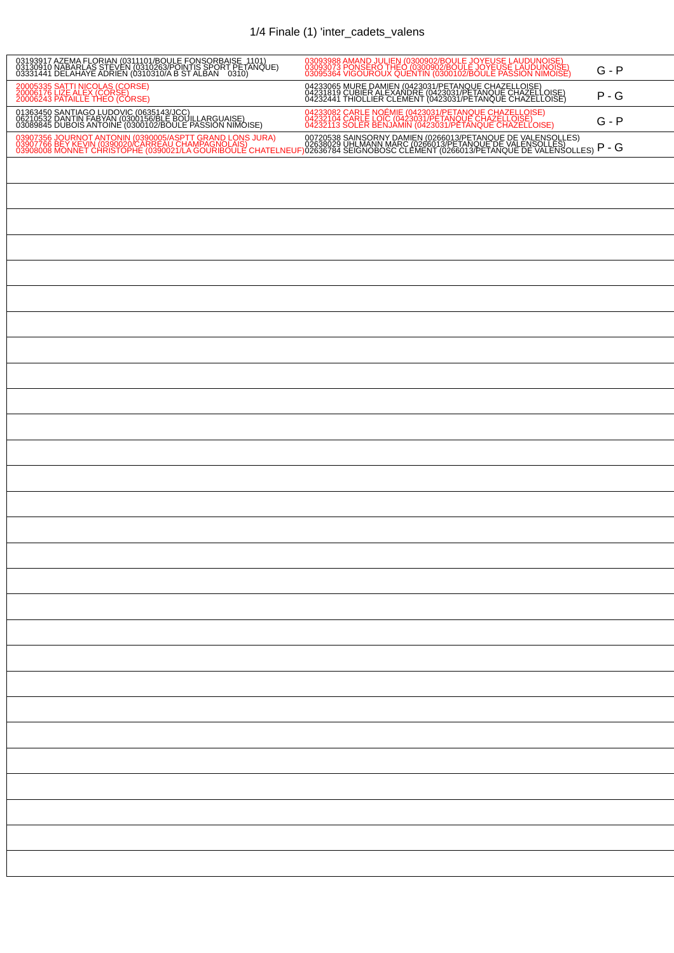## 1/4 Finale (1) 'inter\_cadets\_valens

| 03193917 AZEMA FLORIAN (0311101/BOULE FONSORBAISE 1101)<br>03130910 NABARLAS STEVEN (0310263/POINTIS SPORT PETANQUE)<br>03331441 DELAHAYE ADRIEN (0310310/A B ST ALBAN 0310) | 03093988 AMAND JULIEN (0300902/BOULE JOYEUSE LAUDUNOISE)<br>03093073 PONSERO THEO (0300902/BOULE JOYEUSE LAUDUNOISE)<br>03095364 VIGOUROUX QUENTIN (0300102/BOULE PASSION NIMOISE)                                                | $G - P$ |
|------------------------------------------------------------------------------------------------------------------------------------------------------------------------------|-----------------------------------------------------------------------------------------------------------------------------------------------------------------------------------------------------------------------------------|---------|
| 20005335 SATTI NICOLAS (CORSE)<br>20006176 LIZE ALEX (CORSE)<br>20006243 PATAILLE THEO (CORSE)                                                                               | 04233065 MURE DAMIEN (0423031/PETANQUE CHAZELLOISE)<br>04231819 CUBIER ALEXANDRE (0423031/PETANQUE CHAZELLOISE)<br>04232441 THIOLLIER CLEMENT (0423031/PETANQUE CHAZELLOISE)                                                      | $P - G$ |
| 01363450 SANTIAGO LUDOVIC (0635143/JCC)<br>06210532 DANTIN FABYAN (0300156/BLE BOUILLARGUAISE)<br>03089845 DUBOIS ANTOINE (0300102/BOULE PASSION NIMOISE)                    | 04233082 CARLE NOÉMIE (0423031/PETANQUE CHAZELLOISE)<br>04232104 CARLE LOIC (0423031/PETANQUE CHAZELLOISE)<br>04232113 SOLER BENJAMIN (0423031/PETANQUE CHAZELLOISE)                                                              | $G - P$ |
|                                                                                                                                                                              | 03907356 JOURNOT ANTONIN (0390005/ASPTT GRAND LONS JURA) 00720538 SAINSORNY DAMIEN (0266013/PETANQUE DE VALENSOLLES)<br>03907766 BEY KEVIN (0390020/CARREAU CHAMPAGNOLAIS) 02638729 OHLMANN MARC (0266013/PETANQUE DE VALENSOLLES | $P - G$ |
|                                                                                                                                                                              |                                                                                                                                                                                                                                   |         |
|                                                                                                                                                                              |                                                                                                                                                                                                                                   |         |
|                                                                                                                                                                              |                                                                                                                                                                                                                                   |         |
|                                                                                                                                                                              |                                                                                                                                                                                                                                   |         |
|                                                                                                                                                                              |                                                                                                                                                                                                                                   |         |
|                                                                                                                                                                              |                                                                                                                                                                                                                                   |         |
|                                                                                                                                                                              |                                                                                                                                                                                                                                   |         |
|                                                                                                                                                                              |                                                                                                                                                                                                                                   |         |
|                                                                                                                                                                              |                                                                                                                                                                                                                                   |         |
|                                                                                                                                                                              |                                                                                                                                                                                                                                   |         |
|                                                                                                                                                                              |                                                                                                                                                                                                                                   |         |
|                                                                                                                                                                              |                                                                                                                                                                                                                                   |         |
|                                                                                                                                                                              |                                                                                                                                                                                                                                   |         |
|                                                                                                                                                                              |                                                                                                                                                                                                                                   |         |
|                                                                                                                                                                              |                                                                                                                                                                                                                                   |         |
|                                                                                                                                                                              |                                                                                                                                                                                                                                   |         |
|                                                                                                                                                                              |                                                                                                                                                                                                                                   |         |
|                                                                                                                                                                              |                                                                                                                                                                                                                                   |         |
|                                                                                                                                                                              |                                                                                                                                                                                                                                   |         |
|                                                                                                                                                                              |                                                                                                                                                                                                                                   |         |
|                                                                                                                                                                              |                                                                                                                                                                                                                                   |         |
|                                                                                                                                                                              |                                                                                                                                                                                                                                   |         |
|                                                                                                                                                                              |                                                                                                                                                                                                                                   |         |
|                                                                                                                                                                              |                                                                                                                                                                                                                                   |         |
|                                                                                                                                                                              |                                                                                                                                                                                                                                   |         |
|                                                                                                                                                                              |                                                                                                                                                                                                                                   |         |
|                                                                                                                                                                              |                                                                                                                                                                                                                                   |         |
|                                                                                                                                                                              |                                                                                                                                                                                                                                   |         |